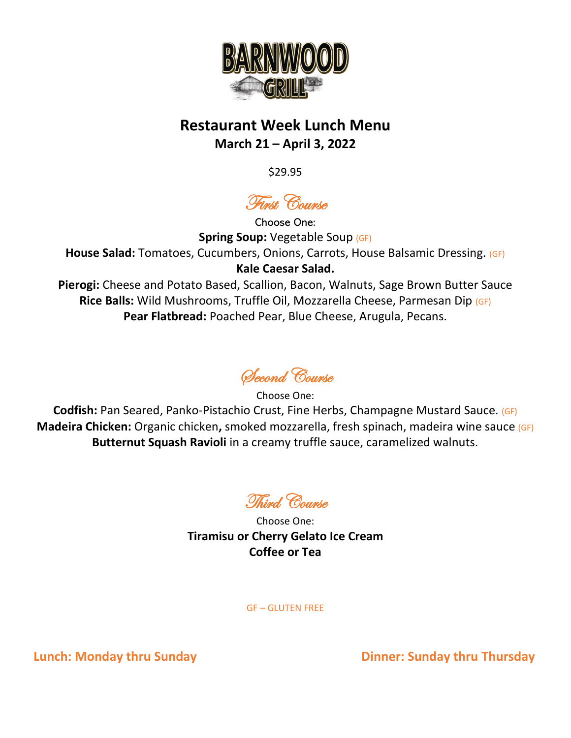

## **Restaurant Week Lunch Menu March 21 – April 3, 2022**

\$29.95

First Course

Choose One: **Spring Soup: Vegetable Soup (GF) House Salad:** Tomatoes, Cucumbers, Onions, Carrots, House Balsamic Dressing. (GF) **Kale Caesar Salad. Pierogi:** Cheese and Potato Based, Scallion, Bacon, Walnuts, Sage Brown Butter Sauce **Rice Balls:** Wild Mushrooms, Truffle Oil, Mozzarella Cheese, Parmesan Dip (GF)

**Pear Flatbread:** Poached Pear, Blue Cheese, Arugula, Pecans.

Second Course

Choose One: **Codfish:** Pan Seared, Panko-Pistachio Crust, Fine Herbs, Champagne Mustard Sauce. (GF) **Madeira Chicken:** Organic chicken**,** smoked mozzarella, fresh spinach, madeira wine sauce (GF) **Butternut Squash Ravioli** in a creamy truffle sauce, caramelized walnuts.

**Thind** Course

Choose One: **Tiramisu or Cherry Gelato Ice Cream Coffee or Tea**

GF – GLUTEN FREE

**Lunch: Monday thru Sunday Dinner: Sunday thru Thursday**